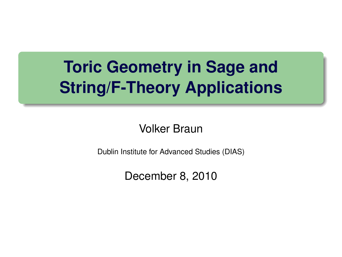# **Toric Geometry in Sage and String/F-Theory Applications**

Volker Braun

<span id="page-0-0"></span>Dublin Institute for Advanced Studies (DIAS)

December 8, 2010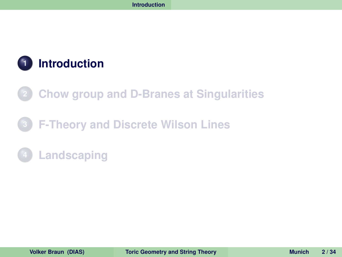

- **[Chow group and D-Branes at Singularities](#page-10-0)**
- **[F-Theory and Discrete Wilson Lines](#page-19-0)**
- <span id="page-1-0"></span>**[Landscaping](#page-31-0)**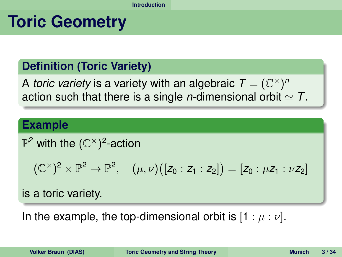### **Toric Geometry**

#### **Definition (Toric Variety)**

A *toric variety* is a variety with an algebraic  $\mathcal{T} = (\mathbb{C}^\times)^n$ action such that there is a single *n*-dimensional orbit  $\simeq$  *T*.

#### **Example**

### $\mathbb{P}^2$  with the  $(\mathbb{C}^\times)^2$ -action

<span id="page-2-0"></span>
$$
(\mathbb{C}^{\times})^{2}\times \mathbb{P}^{2}\to \mathbb{P}^{2}, \quad (\mu,\nu)\big([z_{0}:z_{1}:z_{2}]\big)=[z_{0}:\mu z_{1}:\nu z_{2}]
$$

is a toric variety.

In the example, the top-dimensional orbit is  $[1 : \mu : \nu]$ .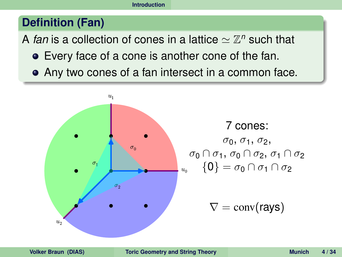#### **Definition (Fan)**

A *fan* is a collection of cones in a lattice  $\simeq \mathbb{Z}^n$  such that

- Every face of a cone is another cone of the fan.
- Any two cones of a fan intersect in a common face.

<span id="page-3-0"></span>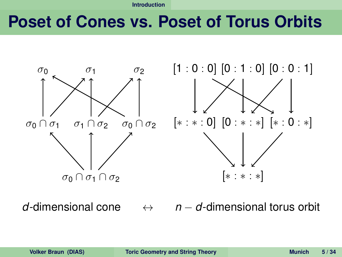### **Poset of Cones vs. Poset of Torus Orbits**



<span id="page-4-0"></span>

*d*-dimensional cone ↔ *n* − *d*-dimensional torus orbit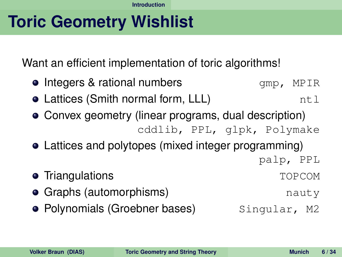# **Toric Geometry Wishlist**

Want an efficient implementation of toric algorithms!

- $\bullet$  Integers & rational numbers  $\bullet$  gmp, MPIR
- Lattices (Smith normal form, LLL)  $ntl$
- Convex geometry (linear programs, dual description) cddlib, PPL, glpk, Polymake
- Lattices and polytopes (mixed integer programming)
	- palp, PPL
- Triangulations **TOPCOM**
- **Graphs (automorphisms)** nauty
- <span id="page-5-0"></span>**• Polynomials (Groebner bases)** Singular, M2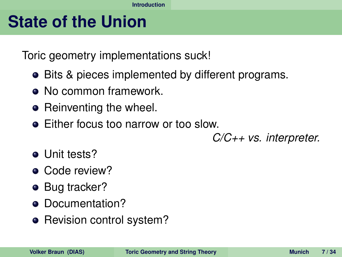### **State of the Union**

Toric geometry implementations suck!

- Bits & pieces implemented by different programs.
- No common framework.
- Reinventing the wheel.
- **•** Either focus too narrow or too slow.

<span id="page-6-0"></span>*C/C++ vs. interpreter.*

- **o** Unit tests?
- Code review?
- Bug tracker?
- Documentation?
- Revision control system?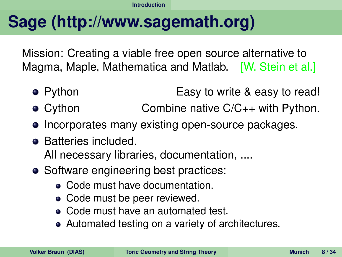# **Sage (http://www.sagemath.org)**

Mission: Creating a viable free open source alternative to Magma, Maple, Mathematica and Matlab. [W. Stein et al.]

- Python **Easy to write & easy to read!**
- Cython Combine native C/C<sub>++</sub> with Python.
- Incorporates many existing open-source packages.
- Batteries included. All necessary libraries, documentation, ....
- <span id="page-7-0"></span>• Software engineering best practices:
	- Code must have documentation.
	- Code must be peer reviewed.
	- Code must have an automated test.
	- Automated testing on a variety of architectures.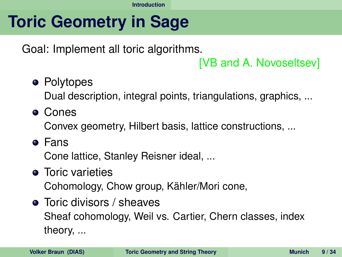# **Toric Geometry in Sage**

Goal: Implement all toric algorithms.

<span id="page-8-0"></span>[VB and A. Novoseltsev]

• Polytopes

Dual description, integral points, triangulations, graphics, ...

Cones

Convex geometry, Hilbert basis, lattice constructions, ...

Fans

Cone lattice, Stanley Reisner ideal, ...

- **•** Toric varieties Cohomology, Chow group, Kähler/Mori cone,
- **•** Toric divisors / sheaves Sheaf cohomology, Weil vs. Cartier, Chern classes, index theory, ...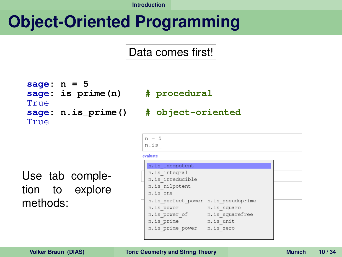$n = 5$ n.is evaluate

# **Object-Oriented Programming**

#### Data comes first!

```
sage: n = 5
sage: is_prime(n) # procedural
True
True
```
#### **sage: n.is\_prime() # object-oriented**

Use tab completion to explore methods:

<span id="page-9-0"></span>

| n.is idempotent                     |                 |  |
|-------------------------------------|-----------------|--|
| n.is integral                       |                 |  |
| n.is irreducible                    |                 |  |
| n.is nilpotent                      |                 |  |
| n.is one                            |                 |  |
| n.is perfect power n.is pseudoprime |                 |  |
| n.is power                          | n.is square     |  |
| n.is power of                       | n.is squarefree |  |
| n.is prime                          | n.is unit       |  |
| n.is prime power                    | n.is zero       |  |
|                                     |                 |  |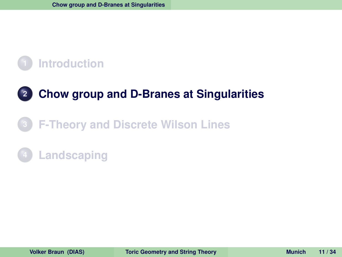### **[Chow group and D-Branes at Singularities](#page-10-0)**

### **[F-Theory and Discrete Wilson Lines](#page-19-0)**

### <span id="page-10-0"></span>**[Landscaping](#page-31-0)**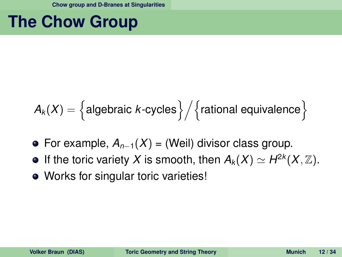### **The Chow Group**

$$
A_k(X) = \left\{ \text{algebraic } k\text{-cycles} \right\} \Big/ \Big\{ \text{rational equivalence} \Big\}
$$

- For example, *A<sup>n</sup>*−<sup>1</sup>(*X*) = (Weil) divisor class group.
- If the toric variety X is smooth, then  $A_k(X) \simeq H^{2k}(X,\mathbb{Z})$ .
- <span id="page-11-0"></span>• Works for singular toric varieties!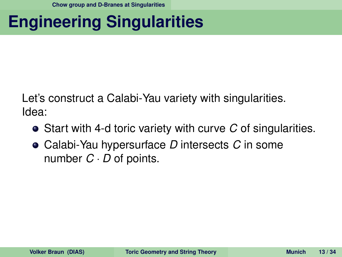# **Engineering Singularities**

Let's construct a Calabi-Yau variety with singularities. Idea:

- Start with 4-d toric variety with curve *C* of singularities.
- <span id="page-12-0"></span>Calabi-Yau hypersurface *D* intersects *C* in some number *C* · *D* of points.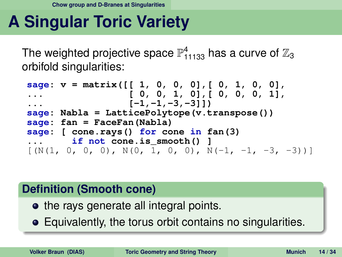# **A Singular Toric Variety**

The weighted projective space  $\mathbb{P}^4_{11133}$  has a curve of  $\mathbb{Z}_3$ orbifold singularities:

```
sage: v = matrix([[ 1, 0, 0, 0],[ 0, 1, 0, 0],
... [ 0, 0, 1, 0],[ 0, 0, 0, 1],
... [-1,-1,-3,-3]])
sage: Nabla = LatticePolytope(v.transpose())
sage: fan = FaceFan(Nabla)
sage: [ cone.rays() for cone in fan(3)
... if not cone.is_smooth() ]
[N(1, 0, 0, 0), N(0, 1, 0, 0), N(-1, -1, -3, -3))]
```
#### **Definition (Smooth cone)**

- the rays generate all integral points.
- <span id="page-13-0"></span>Equivalently, the torus orbit contains no singularities.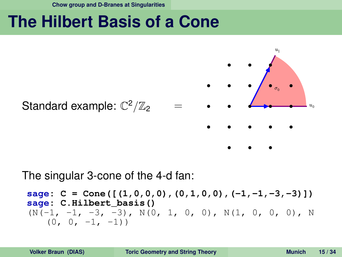**[Chow group and D-Branes at Singularities](#page-14-0)**

### **The Hilbert Basis of a Cone**



#### The singular 3-cone of the 4-d fan:

```
sage: C = Cone([ (1, 0, 0, 0), (0, 1, 0, 0), (-1, -1, -3, -3)])sage: C.Hilbert_basis()
(N(-1, -1, -3, -3), N(0, 1, 0, 0), N(1, 0, 0, 0), N(0, 0, -1, -1)
```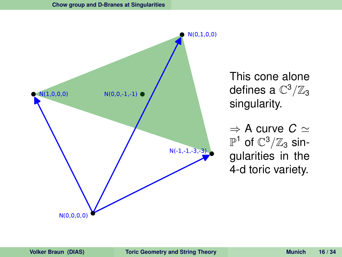<span id="page-15-0"></span>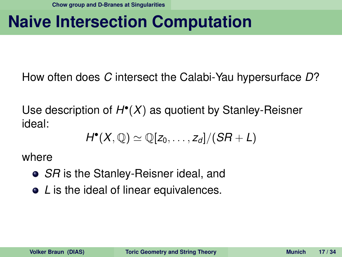# **Naive Intersection Computation**

How often does *C* intersect the Calabi-Yau hypersurface *D*?

Use description of *H* • (*X*) as quotient by Stanley-Reisner ideal:

<span id="page-16-0"></span>
$$
H^{\bullet}(X,\mathbb{Q})\simeq \mathbb{Q}[z_0,\ldots,z_d]/(SR+L)
$$

where

- *SR* is the Stanley-Reisner ideal, and
- *L* is the ideal of linear equivalences.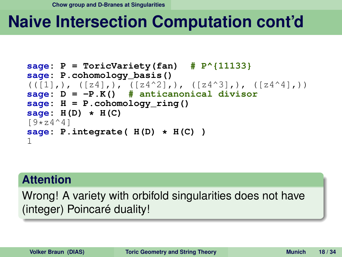# **Naive Intersection Computation cont'd**

```
sage: P = ToricVariety(fan) # P^{11133}
sage: P.cohomology_basis()
((1),), ((z4),), ((z4^2),), ((z4^3),), ((z4^4),))sage: D = -P.K() # anticanonical divisor
sage: H = P.cohomology_ring()
sage: H(D) * H(C)
[9 \times 24^{\wedge}4]sage: P.integrate( H(D) * H(C) )
1
```
#### **Attention**

<span id="page-17-0"></span>Wrong! A variety with orbifold singularities does not have (integer) Poincaré duality!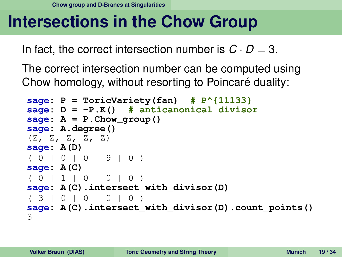# **Intersections in the Chow Group**

In fact, the correct intersection number is  $C \cdot D = 3$ .

The correct intersection number can be computed using Chow homology, without resorting to Poincaré duality:

```
sage: P = ToricVariety(fan) # P^{11133}
sage: D = -P.K() # anticanonical divisor
\texttt{stage}: A = P.Chow group()sage: A.degree()
(Z, Z, Z, Z, Z)
sage: A(D)
( 0 | 0 | 0 | 9 | 0 )
sage: A(C)
( 0 | 1 | 0 | 0 | 0 )
sage: A(C).intersect_with_divisor(D)
( 3 | 0 | 0 | 0 | 0 )
sage: A(C).intersect_with_divisor(D).count_points()
3
```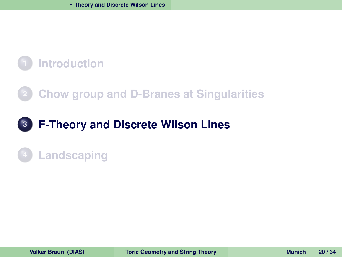### **[Chow group and D-Branes at Singularities](#page-10-0)**

### **[F-Theory and Discrete Wilson Lines](#page-19-0)**

### <span id="page-19-0"></span>**[Landscaping](#page-31-0)**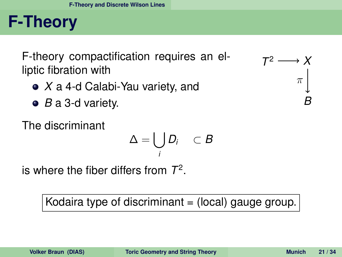# **F-Theory**

F-theory compactification requires an elliptic fibration with

- *X* a 4-d Calabi-Yau variety, and
- *B* a 3-d variety.

The discriminant

$$
\Delta = \bigcup_i D_i \quad \subset B
$$

is where the fiber differs from *T* 2 .

Kodaira type of discriminant  $=$  (local) gauge group.

<span id="page-20-0"></span>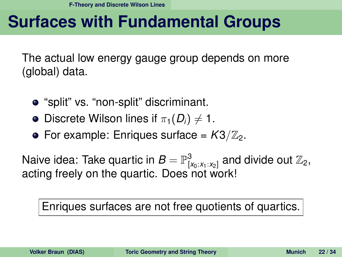## **Surfaces with Fundamental Groups**

The actual low energy gauge group depends on more (global) data.

- "split" vs. "non-split" discriminant.
- **•** Discrete Wilson lines if  $\pi_1(D_i) \neq 1$ .
- For example: Enriques surface =  $K3/\mathbb{Z}_2$ .

Naive idea: Take quartic in  $B = \mathbb{P}^3_{[x_0:x_1:x_2]}$  and divide out  $\mathbb{Z}_2,$ acting freely on the quartic. Does not work!

#### <span id="page-21-0"></span>Enriques surfaces are not free quotients of quartics.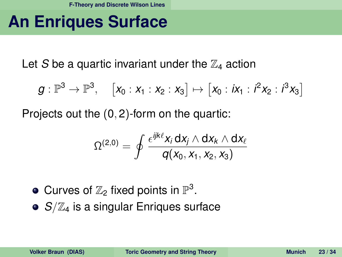## **An Enriques Surface**

Let S be a quartic invariant under the  $\mathbb{Z}_4$  action

$$
g:\mathbb{P}^3\to\mathbb{P}^3,\quad \left[x_0:x_1:x_2:x_3\right]\mapsto \left[x_0:ix_1:i^2x_2:i^3x_3\right]
$$

Projects out the (0, 2)-form on the quartic:

<span id="page-22-0"></span>
$$
\Omega^{(2,0)} = \oint \frac{\epsilon^{ijk\ell}x_i\,dx_j\wedge dx_k\wedge dx_\ell}{q(x_0,x_1,x_2,x_3)}
$$

- Curves of  $\mathbb{Z}_2$  fixed points in  $\mathbb{P}^3$ .
- *S/Z<sub>4</sub>* is a singular Enriques surface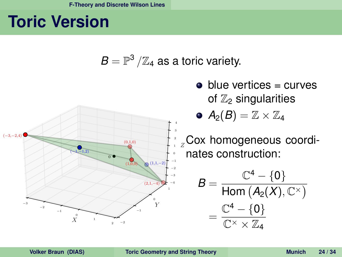## **Toric Version**

<span id="page-23-0"></span>

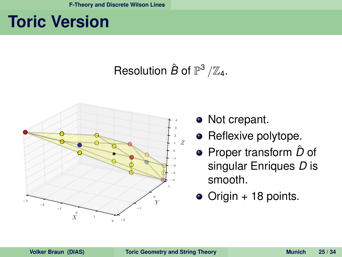# **Toric Version**

### Resolution  $\hat{B}$  of  $\mathbb{P}^3/\mathbb{Z}_4$ .



- Not crepant.
- Reflexive polytope.
- Proper transform  $\hat{D}$  of singular Enriques *D* is smooth.
- <span id="page-24-0"></span>Origin + 18 points.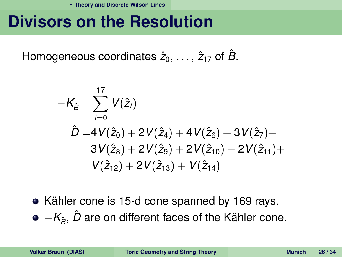### **Divisors on the Resolution**

Homogeneous coordinates  $\hat{z}_0, \ldots, \hat{z}_{17}$  of  $\hat{B}$ .

$$
\begin{aligned}[t] - \mathcal{K}_{\hat{B}} &= \sum_{i=0}^{17} \, V(\hat{z}_i) \\ \hat{D} &=& 4 \, V(\hat{z}_0) + 2 \, V(\hat{z}_4) + 4 \, V(\hat{z}_6) + 3 \, V(\hat{z}_7) + \\ &\quad 3 \, V(\hat{z}_8) + 2 \, V(\hat{z}_9) + 2 \, V(\hat{z}_{10}) + 2 \, V(\hat{z}_{11}) + \\ &\quad V(\hat{z}_{12}) + 2 \, V(\hat{z}_{13}) + \, V(\hat{z}_{14}) \end{aligned}
$$

<span id="page-25-0"></span>• Kähler cone is 15-d cone spanned by 169 rays.  $\bullet$   $-K$ <sup> $\circ$ </sup>  $\circ$  *D* are on different faces of the Kähler cone.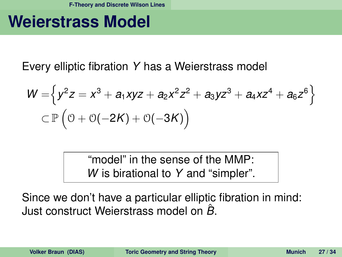### **Weierstrass Model**

Every elliptic fibration *Y* has a Weierstrass model

$$
W = \left\{ y^2 z = x^3 + a_1 xyz + a_2 x^2 z^2 + a_3 y z^3 + a_4 x z^4 + a_6 z^6 \right\}
$$
  

$$
\subset \mathbb{P} \left( \mathbb{O} + \mathbb{O}(-2K) + \mathbb{O}(-3K) \right)
$$

<span id="page-26-0"></span>"model" in the sense of the MMP: *W* is birational to *Y* and "simpler".

Since we don't have a particular elliptic fibration in mind: Just construct Weierstrass model on *B*ˆ.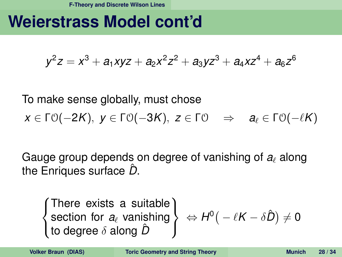### **Weierstrass Model cont'd**

$$
y^2z = x^3 + a_1xyz + a_2x^2z^2 + a_3yz^3 + a_4xz^4 + a_6z^6
$$

To make sense globally, must chose  $x \in \Gamma \cup (-2K)$ ,  $y \in \Gamma \cup (-3K)$ ,  $z \in \Gamma \cup \Rightarrow a_{\ell} \in \Gamma \cup (-\ell K)$ 

Gauge group depends on degree of vanishing of  $a_i$  along the Enriques surface  $\hat{D}$ .

<span id="page-27-0"></span> $\int$  $\left| \right|$  $\mathcal{L}$ There exists a suitable section for  $a_{\ell}$  vanishing to degree δ along *D*ˆ  $\mathcal{L}$  $\mathcal{L}$  $\int$  $\Leftrightarrow H^0(\, -\, \ell K - \delta \hat{D}) \neq 0$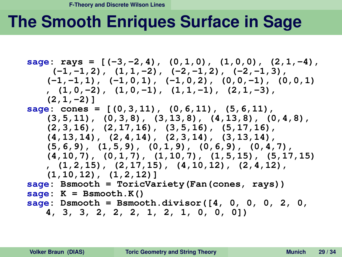# **The Smooth Enriques Surface in Sage**

<span id="page-28-0"></span>**sage: rays = [(-3,-2,4), (0,1,0), (1,0,0), (2,1,-4), (-1,-1,2), (1,1,-2), (-2,-1,2), (-2,-1,3), (-1,-1,1), (-1,0,1), (-1,0,2), (0,0,-1), (0,0,1) , (1,0,-2), (1,0,-1), (1,1,-1), (2,1,-3), (2,1,-2)] sage: cones = [(0,3,11), (0,6,11), (5,6,11), (3,5,11), (0,3,8), (3,13,8), (4,13,8), (0,4,8), (2,3,16), (2,17,16), (3,5,16), (5,17,16), (4,13,14), (2,4,14), (2,3,14), (3,13,14), (5,6,9), (1,5,9), (0,1,9), (0,6,9), (0,4,7), (4,10,7), (0,1,7), (1,10,7), (1,5,15), (5,17,15) , (1,2,15), (2,17,15), (4,10,12), (2,4,12), (1,10,12), (1,2,12)] sage: Bsmooth = ToricVariety(Fan(cones, rays)) sage: K = Bsmooth.K() sage: Dsmooth = Bsmooth.divisor([4, 0, 0, 0, 2, 0, 4, 3, 3, 2, 2, 2, 1, 2, 1, 0, 0, 0])**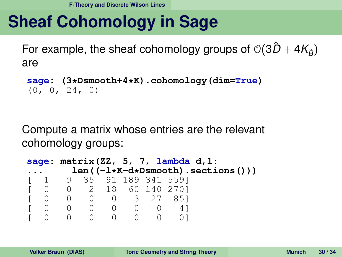# **Sheaf Cohomology in Sage**

For example, the sheaf cohomology groups of  $O(3D + 4K_b)$ are

```
sage: (3*Dsmooth+4*K).cohomology(dim=True)
(0, 0, 24, 0)
```
Compute a matrix whose entries are the relevant cohomology groups:

```
sage: matrix(ZZ, 5, 7, lambda d,l:
... len((-l*K-d*Dsmooth).sections()))
[ 1 9 35 91 189 341 559]
[ 0 0 2 18 60 140 270]
[ 0 0 0 0 3 27 85]
[ 0 0 0 0 0 0 4]
[ 0 0 0 0 0 0 0]
```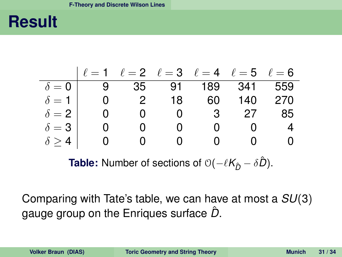### **Result**

$$
\begin{array}{c|cccccc} & \ell=1 & \ell=2 & \ell=3 & \ell=4 & \ell=5 & \ell=6 \\ \hline \delta=0 & 9 & 35 & 91 & 189 & 341 & 559 \\ \delta=1 & 0 & 2 & 18 & 60 & 140 & 270 \\ \delta=2 & 0 & 0 & 0 & 3 & 27 & 85 \\ \delta=3 & 0 & 0 & 0 & 0 & 0 & 4 \\ \delta \geq 4 & 0 & 0 & 0 & 0 & 0 & 0 \end{array}
$$

<span id="page-30-0"></span>**Table:** Number of sections of  $O(-\ell K_{\hat{D}} - \delta \hat{D})$ .

Comparing with Tate's table, we can have at most a *SU*(3) gauge group on the Enriques surface *D*ˆ .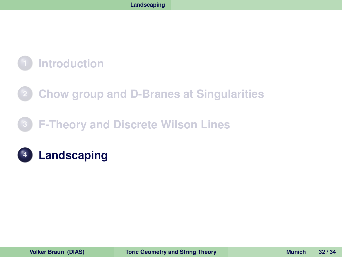### **[Chow group and D-Branes at Singularities](#page-10-0)**

### **[F-Theory and Discrete Wilson Lines](#page-19-0)**

### <span id="page-31-0"></span>**[Landscaping](#page-31-0)**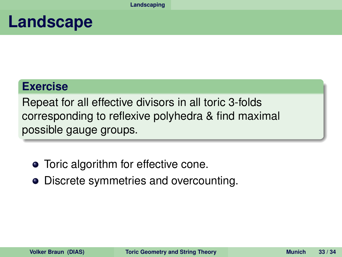### **Landscape**

#### **Exercise**

Repeat for all effective divisors in all toric 3-folds corresponding to reflexive polyhedra & find maximal possible gauge groups.

- Toric algorithm for effective cone.
- <span id="page-32-0"></span>• Discrete symmetries and overcounting.